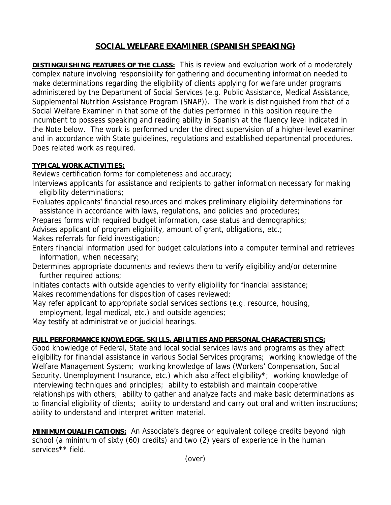## **SOCIAL WELFARE EXAMINER (SPANISH SPEAKING)**

**DISTINGUISHING FEATURES OF THE CLASS:** This is review and evaluation work of a moderately complex nature involving responsibility for gathering and documenting information needed to make determinations regarding the eligibility of clients applying for welfare under programs administered by the Department of Social Services (e.g. Public Assistance, Medical Assistance, Supplemental Nutrition Assistance Program (SNAP)). The work is distinguished from that of a Social Welfare Examiner in that some of the duties performed in this position require the incumbent to possess speaking and reading ability in Spanish at the fluency level indicated in the Note below. The work is performed under the direct supervision of a higher-level examiner and in accordance with State guidelines, regulations and established departmental procedures. Does related work as required.

## **TYPICAL WORK ACTIVITIES:**

Reviews certification forms for completeness and accuracy;

- Interviews applicants for assistance and recipients to gather information necessary for making eligibility determinations;
- Evaluates applicants' financial resources and makes preliminary eligibility determinations for assistance in accordance with laws, regulations, and policies and procedures;
- Prepares forms with required budget information, case status and demographics;
- Advises applicant of program eligibility, amount of grant, obligations, etc.;

Makes referrals for field investigation;

- Enters financial information used for budget calculations into a computer terminal and retrieves information, when necessary;
- Determines appropriate documents and reviews them to verify eligibility and/or determine further required actions;
- Initiates contacts with outside agencies to verify eligibility for financial assistance; Makes recommendations for disposition of cases reviewed;
- May refer applicant to appropriate social services sections (e.g. resource, housing, employment, legal medical, etc.) and outside agencies;

May testify at administrative or judicial hearings.

## **FULL PERFORMANCE KNOWLEDGE, SKILLS, ABILITIES AND PERSONAL CHARACTERISTICS:**

Good knowledge of Federal, State and local social services laws and programs as they affect eligibility for financial assistance in various Social Services programs; working knowledge of the Welfare Management System; working knowledge of laws (Workers' Compensation, Social Security, Unemployment Insurance, etc.) which also affect eligibility\*; working knowledge of interviewing techniques and principles; ability to establish and maintain cooperative relationships with others; ability to gather and analyze facts and make basic determinations as to financial eligibility of clients; ability to understand and carry out oral and written instructions; ability to understand and interpret written material.

**MINIMUM QUALIFICATIONS:** An Associate's degree or equivalent college credits beyond high school (a minimum of sixty (60) credits) and two (2) years of experience in the human services<sup>\*\*</sup> field.